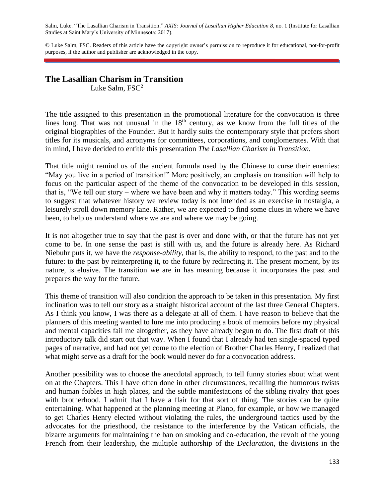Salm, Luke. "The Lasallian Charism in Transition." *AXIS: Journal of Lasallian Higher Education 8*, no. 1 (Institute for Lasallian Studies at Saint Mary's University of Minnesota: 2017).

© Luke Salm, FSC. Readers of this article have the copyright owner's permission to reproduce it for educational, not-for-profit purposes, if the author and publisher are acknowledged in the copy.

# **The Lasallian Charism in Transition**

Luke Salm,  $FSC^2$ 

The title assigned to this presentation in the promotional literature for the convocation is three lines long. That was not unusual in the  $18<sup>th</sup>$  century, as we know from the full titles of the original biographies of the Founder. But it hardly suits the contemporary style that prefers short titles for its musicals, and acronyms for committees, corporations, and conglomerates. With that in mind, I have decided to entitle this presentation *The Lasallian Charism in Transition.*

That title might remind us of the ancient formula used by the Chinese to curse their enemies: "May you live in a period of transition!" More positively, an emphasis on transition will help to focus on the particular aspect of the theme of the convocation to be developed in this session, that is, "We tell our story – where we have been and why it matters today." This wording seems to suggest that whatever history we review today is not intended as an exercise in nostalgia, a leisurely stroll down memory lane. Rather, we are expected to find some clues in where we have been, to help us understand where we are and where we may be going.

It is not altogether true to say that the past is over and done with, or that the future has not yet come to be. In one sense the past is still with us, and the future is already here. As Richard Niebuhr puts it, we have the *response-ability,* that is, the ability to respond, to the past and to the future: to the past by reinterpreting it, to the future by redirecting it. The present moment, by its nature, is elusive. The transition we are in has meaning because it incorporates the past and prepares the way for the future.

This theme of transition will also condition the approach to be taken in this presentation. My first inclination was to tell our story as a straight historical account of the last three General Chapters. As I think you know, I was there as a delegate at all of them. I have reason to believe that the planners of this meeting wanted to lure me into producing a book of memoirs before my physical and mental capacities fail me altogether, as they have already begun to do. The first draft of this introductory talk did start out that way. When I found that I already had ten single-spaced typed pages of narrative, and had not yet come to the election of Brother Charles Henry, I realized that what might serve as a draft for the book would never do for a convocation address.

Another possibility was to choose the anecdotal approach, to tell funny stories about what went on at the Chapters. This I have often done in other circumstances, recalling the humorous twists and human foibles in high places, and the subtle manifestations of the sibling rivalry that goes with brotherhood. I admit that I have a flair for that sort of thing. The stories can be quite entertaining. What happened at the planning meeting at Plano, for example, or how we managed to get Charles Henry elected without violating the rules, the underground tactics used by the advocates for the priesthood, the resistance to the interference by the Vatican officials, the bizarre arguments for maintaining the ban on smoking and co-education, the revolt of the young French from their leadership, the multiple authorship of the *Declaration,* the divisions in the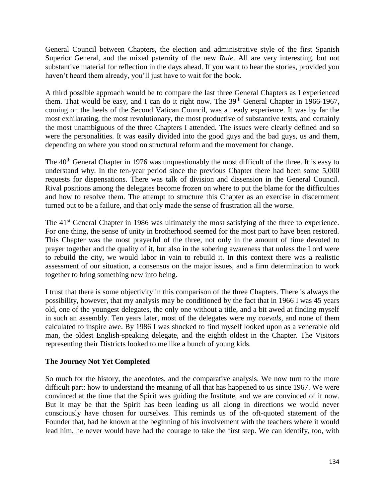General Council between Chapters, the election and administrative style of the first Spanish Superior General, and the mixed paternity of the new *Rule*. All are very interesting, but not substantive material for reflection in the days ahead. If you want to hear the stories, provided you haven't heard them already, you'll just have to wait for the book.

A third possible approach would be to compare the last three General Chapters as I experienced them. That would be easy, and I can do it right now. The  $39<sup>th</sup>$  General Chapter in 1966-1967, coming on the heels of the Second Vatican Council, was a heady experience. It was by far the most exhilarating, the most revolutionary, the most productive of substantive texts, and certainly the most unambiguous of the three Chapters I attended. The issues were clearly defined and so were the personalities. It was easily divided into the good guys and the bad guys, us and them, depending on where you stood on structural reform and the movement for change.

The 40<sup>th</sup> General Chapter in 1976 was unquestionably the most difficult of the three. It is easy to understand why. In the ten-year period since the previous Chapter there had been some 5,000 requests for dispensations. There was talk of division and dissension in the General Council. Rival positions among the delegates become frozen on where to put the blame for the difficulties and how to resolve them. The attempt to structure this Chapter as an exercise in discernment turned out to be a failure, and that only made the sense of frustration all the worse.

The 41<sup>st</sup> General Chapter in 1986 was ultimately the most satisfying of the three to experience. For one thing, the sense of unity in brotherhood seemed for the most part to have been restored. This Chapter was the most prayerful of the three, not only in the amount of time devoted to prayer together and the quality of it, but also in the sobering awareness that unless the Lord were to rebuild the city, we would labor in vain to rebuild it. In this context there was a realistic assessment of our situation, a consensus on the major issues, and a firm determination to work together to bring something new into being.

I trust that there is some objectivity in this comparison of the three Chapters. There is always the possibility, however, that my analysis may be conditioned by the fact that in 1966 I was 45 years old, one of the youngest delegates, the only one without a title, and a bit awed at finding myself in such an assembly. Ten years later, most of the delegates were my *coevals,* and none of them calculated to inspire awe. By 1986 I was shocked to find myself looked upon as a venerable old man, the oldest English-speaking delegate, and the eighth oldest in the Chapter. The Visitors representing their Districts looked to me like a bunch of young kids.

## **The Journey Not Yet Completed**

So much for the history, the anecdotes, and the comparative analysis. We now turn to the more difficult part: how to understand the meaning of all that has happened to us since 1967. We were convinced at the time that the Spirit was guiding the Institute, and we are convinced of it now. But it may be that the Spirit has been leading us all along in directions we would never consciously have chosen for ourselves. This reminds us of the oft-quoted statement of the Founder that, had he known at the beginning of his involvement with the teachers where it would lead him, he never would have had the courage to take the first step. We can identify, too, with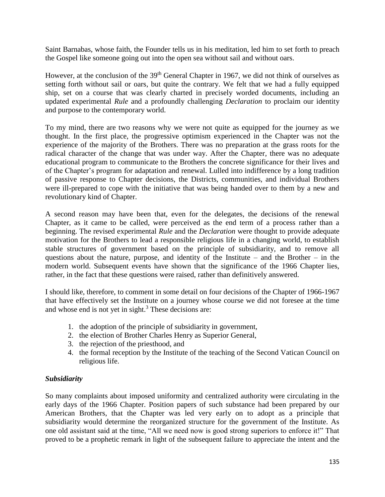Saint Barnabas, whose faith, the Founder tells us in his meditation, led him to set forth to preach the Gospel like someone going out into the open sea without sail and without oars.

However, at the conclusion of the 39<sup>th</sup> General Chapter in 1967, we did not think of ourselves as setting forth without sail or oars, but quite the contrary. We felt that we had a fully equipped ship, set on a course that was clearly charted in precisely worded documents, including an updated experimental *Rule* and a profoundly challenging *Declaration* to proclaim our identity and purpose to the contemporary world.

To my mind, there are two reasons why we were not quite as equipped for the journey as we thought. In the first place, the progressive optimism experienced in the Chapter was not the experience of the majority of the Brothers. There was no preparation at the grass roots for the radical character of the change that was under way. After the Chapter, there was no adequate educational program to communicate to the Brothers the concrete significance for their lives and of the Chapter's program for adaptation and renewal. Lulled into indifference by a long tradition of passive response to Chapter decisions, the Districts, communities, and individual Brothers were ill-prepared to cope with the initiative that was being handed over to them by a new and revolutionary kind of Chapter.

A second reason may have been that, even for the delegates, the decisions of the renewal Chapter, as it came to be called, were perceived as the end term of a process rather than a beginning. The revised experimental *Rule* and the *Declaration* were thought to provide adequate motivation for the Brothers to lead a responsible religious life in a changing world, to establish stable structures of government based on the principle of subsidiarity, and to remove all questions about the nature, purpose, and identity of the Institute – and the Brother – in the modern world. Subsequent events have shown that the significance of the 1966 Chapter lies, rather, in the fact that these questions were raised, rather than definitively answered.

I should like, therefore, to comment in some detail on four decisions of the Chapter of 1966-1967 that have effectively set the Institute on a journey whose course we did not foresee at the time and whose end is not yet in sight.<sup>3</sup> These decisions are:

- 1. the adoption of the principle of subsidiarity in government,
- 2. the election of Brother Charles Henry as Superior General,
- 3. the rejection of the priesthood, and
- 4. the formal reception by the Institute of the teaching of the Second Vatican Council on religious life.

## *Subsidiarity*

So many complaints about imposed uniformity and centralized authority were circulating in the early days of the 1966 Chapter. Position papers of such substance had been prepared by our American Brothers, that the Chapter was led very early on to adopt as a principle that subsidiarity would determine the reorganized structure for the government of the Institute. As one old assistant said at the time, "All we need now is good strong superiors to enforce it!" That proved to be a prophetic remark in light of the subsequent failure to appreciate the intent and the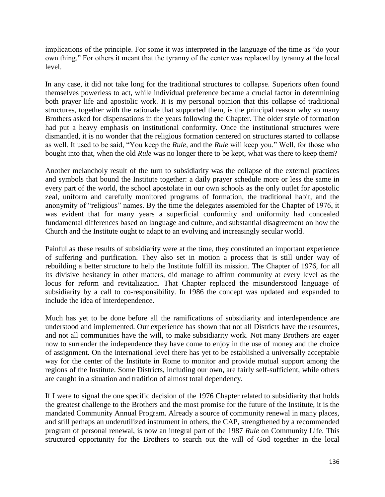implications of the principle. For some it was interpreted in the language of the time as "do your own thing." For others it meant that the tyranny of the center was replaced by tyranny at the local level.

In any case, it did not take long for the traditional structures to collapse. Superiors often found themselves powerless to act, while individual preference became a crucial factor in determining both prayer life and apostolic work. It is my personal opinion that this collapse of traditional structures, together with the rationale that supported them, is the principal reason why so many Brothers asked for dispensations in the years following the Chapter. The older style of formation had put a heavy emphasis on institutional conformity. Once the institutional structures were dismantled, it is no wonder that the religious formation centered on structures started to collapse as well. It used to be said, "You keep the *Rule,* and the *Rule* will keep you." Well, for those who bought into that, when the old *Rule* was no longer there to be kept, what was there to keep them?

Another melancholy result of the turn to subsidiarity was the collapse of the external practices and symbols that bound the Institute together: a daily prayer schedule more or less the same in every part of the world, the school apostolate in our own schools as the only outlet for apostolic zeal, uniform and carefully monitored programs of formation, the traditional habit, and the anonymity of "religious" names. By the time the delegates assembled for the Chapter of 1976, it was evident that for many years a superficial conformity and uniformity had concealed fundamental differences based on language and culture, and substantial disagreement on how the Church and the Institute ought to adapt to an evolving and increasingly secular world.

Painful as these results of subsidiarity were at the time, they constituted an important experience of suffering and purification. They also set in motion a process that is still under way of rebuilding a better structure to help the Institute fulfill its mission. The Chapter of 1976, for all its divisive hesitancy in other matters, did manage to affirm community at every level as the locus for reform and revitalization. That Chapter replaced the misunderstood language of subsidiarity by a call to co-responsibility. In 1986 the concept was updated and expanded to include the idea of interdependence.

Much has yet to be done before all the ramifications of subsidiarity and interdependence are understood and implemented. Our experience has shown that not all Districts have the resources, and not all communities have the will, to make subsidiarity work. Not many Brothers are eager now to surrender the independence they have come to enjoy in the use of money and the choice of assignment. On the international level there has yet to be established a universally acceptable way for the center of the Institute in Rome to monitor and provide mutual support among the regions of the Institute. Some Districts, including our own, are fairly self-sufficient, while others are caught in a situation and tradition of almost total dependency.

If I were to signal the one specific decision of the 1976 Chapter related to subsidiarity that holds the greatest challenge to the Brothers and the most promise for the future of the Institute, it is the mandated Community Annual Program. Already a source of community renewal in many places, and still perhaps an underutilized instrument in others, the CAP, strengthened by a recommended program of personal renewal, is now an integral part of the 1987 *Rule* on Community Life. This structured opportunity for the Brothers to search out the will of God together in the local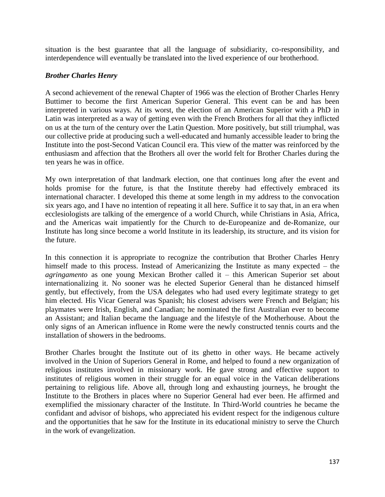situation is the best guarantee that all the language of subsidiarity, co-responsibility, and interdependence will eventually be translated into the lived experience of our brotherhood.

## *Brother Charles Henry*

A second achievement of the renewal Chapter of 1966 was the election of Brother Charles Henry Buttimer to become the first American Superior General. This event can be and has been interpreted in various ways. At its worst, the election of an American Superior with a PhD in Latin was interpreted as a way of getting even with the French Brothers for all that they inflicted on us at the turn of the century over the Latin Question. More positively, but still triumphal, was our collective pride at producing such a well-educated and humanly accessible leader to bring the Institute into the post-Second Vatican Council era. This view of the matter was reinforced by the enthusiasm and affection that the Brothers all over the world felt for Brother Charles during the ten years he was in office.

My own interpretation of that landmark election, one that continues long after the event and holds promise for the future, is that the Institute thereby had effectively embraced its international character. I developed this theme at some length in my address to the convocation six years ago, and I have no intention of repeating it all here. Suffice it to say that, in an era when ecclesiologists are talking of the emergence of a world Church, while Christians in Asia, Africa, and the Americas wait impatiently for the Church to de-Europeanize and de-Romanize, our Institute has long since become a world Institute in its leadership, its structure, and its vision for the future.

In this connection it is appropriate to recognize the contribution that Brother Charles Henry himself made to this process. Instead of Americanizing the Institute as many expected – the *agringamento* as one young Mexican Brother called it – this American Superior set about internationalizing it. No sooner was he elected Superior General than he distanced himself gently, but effectively, from the USA delegates who had used every legitimate strategy to get him elected. His Vicar General was Spanish; his closest advisers were French and Belgian; his playmates were Irish, English, and Canadian; he nominated the first Australian ever to become an Assistant; and Italian became the language and the lifestyle of the Motherhouse. About the only signs of an American influence in Rome were the newly constructed tennis courts and the installation of showers in the bedrooms.

Brother Charles brought the Institute out of its ghetto in other ways. He became actively involved in the Union of Superiors General in Rome, and helped to found a new organization of religious institutes involved in missionary work. He gave strong and effective support to institutes of religious women in their struggle for an equal voice in the Vatican deliberations pertaining to religious life. Above all, through long and exhausting journeys, he brought the Institute to the Brothers in places where no Superior General had ever been. He affirmed and exemplified the missionary character of the Institute. In Third-World countries he became the confidant and advisor of bishops, who appreciated his evident respect for the indigenous culture and the opportunities that he saw for the Institute in its educational ministry to serve the Church in the work of evangelization.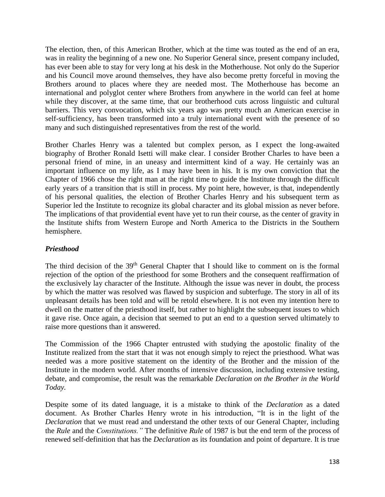The election, then, of this American Brother, which at the time was touted as the end of an era, was in reality the beginning of a new one. No Superior General since, present company included, has ever been able to stay for very long at his desk in the Motherhouse. Not only do the Superior and his Council move around themselves, they have also become pretty forceful in moving the Brothers around to places where they are needed most. The Motherhouse has become an international and polyglot center where Brothers from anywhere in the world can feel at home while they discover, at the same time, that our brotherhood cuts across linguistic and cultural barriers. This very convocation, which six years ago was pretty much an American exercise in self-sufficiency, has been transformed into a truly international event with the presence of so many and such distinguished representatives from the rest of the world.

Brother Charles Henry was a talented but complex person, as I expect the long-awaited biography of Brother Ronald Isetti will make clear. I consider Brother Charles to have been a personal friend of mine, in an uneasy and intermittent kind of a way. He certainly was an important influence on my life, as I may have been in his. It is my own conviction that the Chapter of 1966 chose the right man at the right time to guide the Institute through the difficult early years of a transition that is still in process. My point here, however, is that, independently of his personal qualities, the election of Brother Charles Henry and his subsequent term as Superior led the Institute to recognize its global character and its global mission as never before. The implications of that providential event have yet to run their course, as the center of gravity in the Institute shifts from Western Europe and North America to the Districts in the Southern hemisphere.

## *Priesthood*

The third decision of the 39<sup>th</sup> General Chapter that I should like to comment on is the formal rejection of the option of the priesthood for some Brothers and the consequent reaffirmation of the exclusively lay character of the Institute. Although the issue was never in doubt, the process by which the matter was resolved was flawed by suspicion and subterfuge. The story in all of its unpleasant details has been told and will be retold elsewhere. It is not even my intention here to dwell on the matter of the priesthood itself, but rather to highlight the subsequent issues to which it gave rise. Once again, a decision that seemed to put an end to a question served ultimately to raise more questions than it answered.

The Commission of the 1966 Chapter entrusted with studying the apostolic finality of the Institute realized from the start that it was not enough simply to reject the priesthood. What was needed was a more positive statement on the identity of the Brother and the mission of the Institute in the modern world. After months of intensive discussion, including extensive testing, debate, and compromise, the result was the remarkable *Declaration on the Brother in the World Today.*

Despite some of its dated language, it is a mistake to think of the *Declaration* as a dated document. As Brother Charles Henry wrote in his introduction, "It is in the light of the *Declaration* that we must read and understand the other texts of our General Chapter, including the *Rule* and the *Constitutions."* The definitive *Rule* of 1987 is but the end term of the process of renewed self-definition that has the *Declaration* as its foundation and point of departure. It is true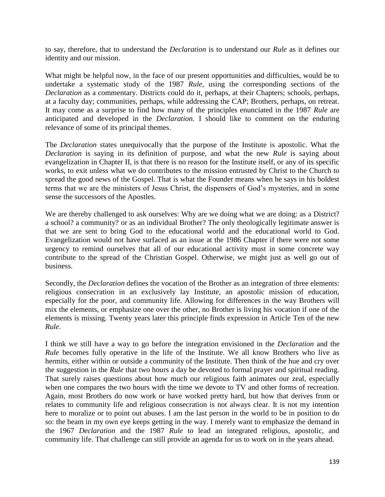to say, therefore, that to understand the *Declaration* is to understand our *Rule* as it defines our identity and our mission.

What might be helpful now, in the face of our present opportunities and difficulties, would be to undertake a systematic study of the 1987 *Rule*, using the corresponding sections of the *Declaration* as a commentary. Districts could do it, perhaps, at their Chapters; schools, perhaps, at a faculty day; communities, perhaps, while addressing the CAP; Brothers, perhaps, on retreat. It may come as a surprise to find how many of the principles enunciated in the 1987 *Rule* are anticipated and developed in the *Declaration.* I should like to comment on the enduring relevance of some of its principal themes.

The *Declaration* states unequivocally that the purpose of the Institute is apostolic. What the *Declaration* is saying in its definition of purpose, and what the new *Rule* is saying about evangelization in Chapter II, is that there is no reason for the Institute itself, or any of its specific works, to exit unless what we do contributes to the mission entrusted by Christ to the Church to spread the good news of the Gospel. That is what the Founder means when he says in his boldest terms that we are the ministers of Jesus Christ, the dispensers of God's mysteries, and in some sense the successors of the Apostles.

We are thereby challenged to ask ourselves: Why are we doing what we are doing: as a District? a school? a community? or as an individual Brother? The only theologically legitimate answer is that we are sent to bring God to the educational world and the educational world to God. Evangelization would not have surfaced as an issue at the 1986 Chapter if there were not some urgency to remind ourselves that all of our educational activity must in some concrete way contribute to the spread of the Christian Gospel. Otherwise, we might just as well go out of business.

Secondly, the *Declaration* defines the vocation of the Brother as an integration of three elements: religious consecration in an exclusively lay Institute, an apostolic mission of education, especially for the poor, and community life. Allowing for differences in the way Brothers will mix the elements, or emphasize one over the other, no Brother is living his vocation if one of the elements is missing. Twenty years later this principle finds expression in Article Ten of the new *Rule.*

I think we still have a way to go before the integration envisioned in the *Declaration* and the *Rule* becomes fully operative in the life of the Institute. We all know Brothers who live as hermits, either within or outside a community of the Institute. Then think of the hue and cry over the suggestion in the *Rule* that two hours a day be devoted to formal prayer and spiritual reading. That surely raises questions about how much our religious faith animates our zeal, especially when one compares the two hours with the time we devote to TV and other forms of recreation. Again, most Brothers do now work or have worked pretty hard, but how that derives from or relates to community life and religious consecration is not always clear. It is not my intention here to moralize or to point out abuses. I am the last person in the world to be in position to do so: the beam in my own eye keeps getting in the way. I merely want to emphasize the demand in the 1967 *Declaration* and the 1987 *Rule* to lead an integrated religious, apostolic, and community life. That challenge can still provide an agenda for us to work on in the years ahead.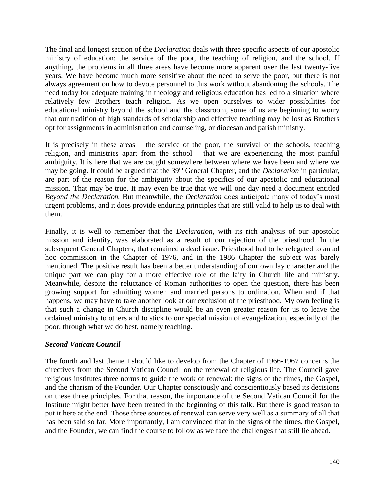The final and longest section of the *Declaration* deals with three specific aspects of our apostolic ministry of education: the service of the poor, the teaching of religion, and the school. If anything, the problems in all three areas have become more apparent over the last twenty-five years. We have become much more sensitive about the need to serve the poor, but there is not always agreement on how to devote personnel to this work without abandoning the schools. The need today for adequate training in theology and religious education has led to a situation where relatively few Brothers teach religion. As we open ourselves to wider possibilities for educational ministry beyond the school and the classroom, some of us are beginning to worry that our tradition of high standards of scholarship and effective teaching may be lost as Brothers opt for assignments in administration and counseling, or diocesan and parish ministry.

It is precisely in these areas – the service of the poor, the survival of the schools, teaching religion, and ministries apart from the school – that we are experiencing the most painful ambiguity. It is here that we are caught somewhere between where we have been and where we may be going. It could be argued that the 39<sup>th</sup> General Chapter, and the *Declaration* in particular, are part of the reason for the ambiguity about the specifics of our apostolic and educational mission. That may be true. It may even be true that we will one day need a document entitled *Beyond the Declaration.* But meanwhile, the *Declaration* does anticipate many of today's most urgent problems, and it does provide enduring principles that are still valid to help us to deal with them.

Finally, it is well to remember that the *Declaration*, with its rich analysis of our apostolic mission and identity, was elaborated as a result of our rejection of the priesthood. In the subsequent General Chapters, that remained a dead issue. Priesthood had to be relegated to an ad hoc commission in the Chapter of 1976, and in the 1986 Chapter the subject was barely mentioned. The positive result has been a better understanding of our own lay character and the unique part we can play for a more effective role of the laity in Church life and ministry. Meanwhile, despite the reluctance of Roman authorities to open the question, there has been growing support for admitting women and married persons to ordination. When and if that happens, we may have to take another look at our exclusion of the priesthood. My own feeling is that such a change in Church discipline would be an even greater reason for us to leave the ordained ministry to others and to stick to our special mission of evangelization, especially of the poor, through what we do best, namely teaching.

#### *Second Vatican Council*

The fourth and last theme I should like to develop from the Chapter of 1966-1967 concerns the directives from the Second Vatican Council on the renewal of religious life. The Council gave religious institutes three norms to guide the work of renewal: the signs of the times, the Gospel, and the charism of the Founder. Our Chapter consciously and conscientiously based its decisions on these three principles. For that reason, the importance of the Second Vatican Council for the Institute might better have been treated in the beginning of this talk. But there is good reason to put it here at the end. Those three sources of renewal can serve very well as a summary of all that has been said so far. More importantly, I am convinced that in the signs of the times, the Gospel, and the Founder, we can find the course to follow as we face the challenges that still lie ahead.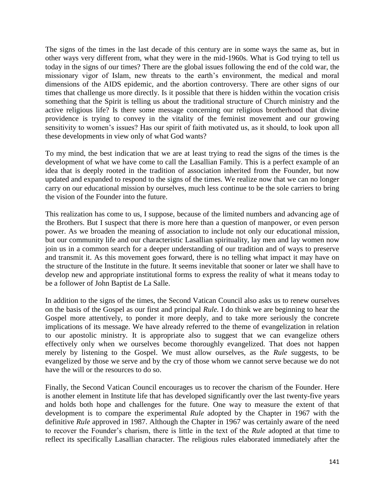The signs of the times in the last decade of this century are in some ways the same as, but in other ways very different from, what they were in the mid-1960s. What is God trying to tell us today in the signs of our times? There are the global issues following the end of the cold war, the missionary vigor of Islam, new threats to the earth's environment, the medical and moral dimensions of the AIDS epidemic, and the abortion controversy. There are other signs of our times that challenge us more directly. Is it possible that there is hidden within the vocation crisis something that the Spirit is telling us about the traditional structure of Church ministry and the active religious life? Is there some message concerning our religious brotherhood that divine providence is trying to convey in the vitality of the feminist movement and our growing sensitivity to women's issues? Has our spirit of faith motivated us, as it should, to look upon all these developments in view only of what God wants?

To my mind, the best indication that we are at least trying to read the signs of the times is the development of what we have come to call the Lasallian Family. This is a perfect example of an idea that is deeply rooted in the tradition of association inherited from the Founder, but now updated and expanded to respond to the signs of the times. We realize now that we can no longer carry on our educational mission by ourselves, much less continue to be the sole carriers to bring the vision of the Founder into the future.

This realization has come to us, I suppose, because of the limited numbers and advancing age of the Brothers. But I suspect that there is more here than a question of manpower, or even person power. As we broaden the meaning of association to include not only our educational mission, but our community life and our characteristic Lasallian spirituality, lay men and lay women now join us in a common search for a deeper understanding of our tradition and of ways to preserve and transmit it. As this movement goes forward, there is no telling what impact it may have on the structure of the Institute in the future. It seems inevitable that sooner or later we shall have to develop new and appropriate institutional forms to express the reality of what it means today to be a follower of John Baptist de La Salle.

In addition to the signs of the times, the Second Vatican Council also asks us to renew ourselves on the basis of the Gospel as our first and principal *Rule.* I do think we are beginning to hear the Gospel more attentively, to ponder it more deeply, and to take more seriously the concrete implications of its message. We have already referred to the theme of evangelization in relation to our apostolic ministry. It is appropriate also to suggest that we can evangelize others effectively only when we ourselves become thoroughly evangelized. That does not happen merely by listening to the Gospel. We must allow ourselves, as the *Rule* suggests, to be evangelized by those we serve and by the cry of those whom we cannot serve because we do not have the will or the resources to do so.

Finally, the Second Vatican Council encourages us to recover the charism of the Founder. Here is another element in Institute life that has developed significantly over the last twenty-five years and holds both hope and challenges for the future. One way to measure the extent of that development is to compare the experimental *Rule* adopted by the Chapter in 1967 with the definitive *Rule* approved in 1987. Although the Chapter in 1967 was certainly aware of the need to recover the Founder's charism, there is little in the text of the *Rule* adopted at that time to reflect its specifically Lasallian character. The religious rules elaborated immediately after the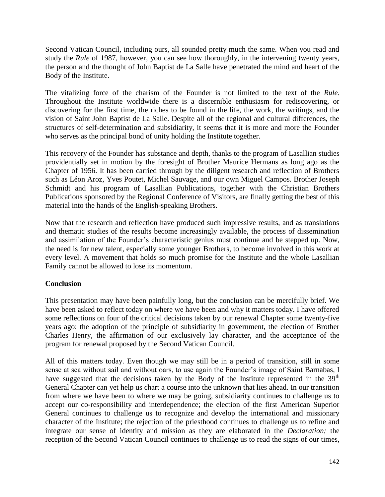Second Vatican Council, including ours, all sounded pretty much the same. When you read and study the *Rule* of 1987, however, you can see how thoroughly, in the intervening twenty years, the person and the thought of John Baptist de La Salle have penetrated the mind and heart of the Body of the Institute.

The vitalizing force of the charism of the Founder is not limited to the text of the *Rule.* Throughout the Institute worldwide there is a discernible enthusiasm for rediscovering, or discovering for the first time, the riches to be found in the life, the work, the writings, and the vision of Saint John Baptist de La Salle. Despite all of the regional and cultural differences, the structures of self-determination and subsidiarity, it seems that it is more and more the Founder who serves as the principal bond of unity holding the Institute together.

This recovery of the Founder has substance and depth, thanks to the program of Lasallian studies providentially set in motion by the foresight of Brother Maurice Hermans as long ago as the Chapter of 1956. It has been carried through by the diligent research and reflection of Brothers such as Léon Aroz, Yves Poutet, Michel Sauvage, and our own Miguel Campos. Brother Joseph Schmidt and his program of Lasallian Publications, together with the Christian Brothers Publications sponsored by the Regional Conference of Visitors, are finally getting the best of this material into the hands of the English-speaking Brothers.

Now that the research and reflection have produced such impressive results, and as translations and thematic studies of the results become increasingly available, the process of dissemination and assimilation of the Founder's characteristic genius must continue and be stepped up. Now, the need is for new talent, especially some younger Brothers, to become involved in this work at every level. A movement that holds so much promise for the Institute and the whole Lasallian Family cannot be allowed to lose its momentum.

## **Conclusion**

This presentation may have been painfully long, but the conclusion can be mercifully brief. We have been asked to reflect today on where we have been and why it matters today. I have offered some reflections on four of the critical decisions taken by our renewal Chapter some twenty-five years ago: the adoption of the principle of subsidiarity in government, the election of Brother Charles Henry, the affirmation of our exclusively lay character, and the acceptance of the program for renewal proposed by the Second Vatican Council.

All of this matters today. Even though we may still be in a period of transition, still in some sense at sea without sail and without oars, to use again the Founder's image of Saint Barnabas, I have suggested that the decisions taken by the Body of the Institute represented in the  $39<sup>th</sup>$ General Chapter can yet help us chart a course into the unknown that lies ahead. In our transition from where we have been to where we may be going, subsidiarity continues to challenge us to accept our co-responsibility and interdependence; the election of the first American Superior General continues to challenge us to recognize and develop the international and missionary character of the Institute; the rejection of the priesthood continues to challenge us to refine and integrate our sense of identity and mission as they are elaborated in the *Declaration;* the reception of the Second Vatican Council continues to challenge us to read the signs of our times,